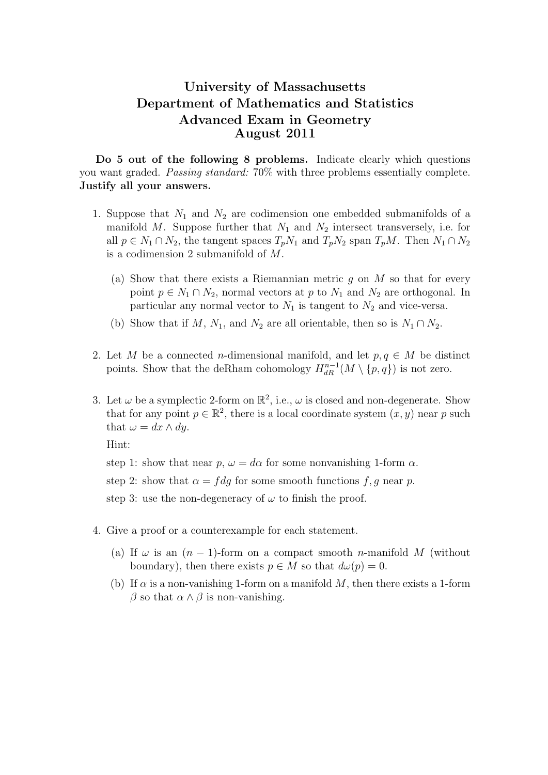## University of Massachusetts Department of Mathematics and Statistics Advanced Exam in Geometry August 2011

Do 5 out of the following 8 problems. Indicate clearly which questions you want graded. Passing standard: 70% with three problems essentially complete. Justify all your answers.

- 1. Suppose that  $N_1$  and  $N_2$  are codimension one embedded submanifolds of a manifold M. Suppose further that  $N_1$  and  $N_2$  intersect transversely, i.e. for all  $p \in N_1 \cap N_2$ , the tangent spaces  $T_p N_1$  and  $T_p N_2$  span  $T_p M$ . Then  $N_1 \cap N_2$ is a codimension 2 submanifold of M.
	- (a) Show that there exists a Riemannian metric q on  $M$  so that for every point  $p \in N_1 \cap N_2$ , normal vectors at p to  $N_1$  and  $N_2$  are orthogonal. In particular any normal vector to  $N_1$  is tangent to  $N_2$  and vice-versa.
	- (b) Show that if M, N<sub>1</sub>, and N<sub>2</sub> are all orientable, then so is  $N_1 \cap N_2$ .
- 2. Let M be a connected n-dimensional manifold, and let  $p, q \in M$  be distinct points. Show that the deRham cohomology  $H_{dR}^{n-1}(M \setminus \{p,q\})$  is not zero.
- 3. Let  $\omega$  be a symplectic 2-form on  $\mathbb{R}^2$ , i.e.,  $\omega$  is closed and non-degenerate. Show that for any point  $p \in \mathbb{R}^2$ , there is a local coordinate system  $(x, y)$  near p such that  $\omega = dx \wedge dy$ .

Hint:

step 1: show that near  $p, \omega = d\alpha$  for some nonvanishing 1-form  $\alpha$ .

step 2: show that  $\alpha = f dg$  for some smooth functions f, g near p.

step 3: use the non-degeneracy of  $\omega$  to finish the proof.

- 4. Give a proof or a counterexample for each statement.
	- (a) If  $\omega$  is an  $(n-1)$ -form on a compact smooth *n*-manifold M (without boundary), then there exists  $p \in M$  so that  $d\omega(p) = 0$ .
	- (b) If  $\alpha$  is a non-vanishing 1-form on a manifold M, then there exists a 1-form β so that  $\alpha \wedge \beta$  is non-vanishing.